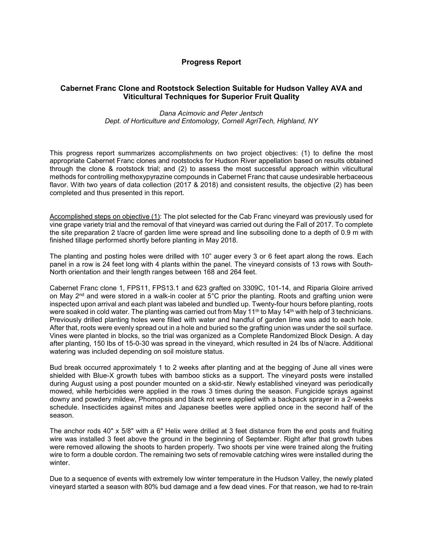## **Progress Report**

## **Cabernet Franc Clone and Rootstock Selection Suitable for Hudson Valley AVA and Viticultural Techniques for Superior Fruit Quality**

## *Dana Acimovic and Peter Jentsch Dept. of Horticulture and Entomology, Cornell AgriTech, Highland, NY*

This progress report summarizes accomplishments on two project objectives: (1) to define the most appropriate Cabernet Franc clones and rootstocks for Hudson River appellation based on results obtained through the clone & rootstock trial; and (2) to assess the most successful approach within viticultural methods for controlling methoxypyrazine compounds in Cabernet Franc that cause undesirable herbaceous flavor. With two years of data collection (2017 & 2018) and consistent results, the objective (2) has been completed and thus presented in this report.

Accomplished steps on objective (1): The plot selected for the Cab Franc vineyard was previously used for vine grape variety trial and the removal of that vineyard was carried out during the Fall of 2017. To complete the site preparation 2 t/acre of garden lime were spread and line subsoiling done to a depth of 0.9 m with finished tillage performed shortly before planting in May 2018.

The planting and posting holes were drilled with 10" auger every 3 or 6 feet apart along the rows. Each panel in a row is 24 feet long with 4 plants within the panel. The vineyard consists of 13 rows with South-North orientation and their length ranges between 168 and 264 feet.

Cabernet Franc clone 1, FPS11, FPS13.1 and 623 grafted on 3309C, 101-14, and Riparia Gloire arrived on May  $2^{nd}$  and were stored in a walk-in cooler at  $5^{\circ}$ C prior the planting. Roots and grafting union were inspected upon arrival and each plant was labeled and bundled up. Twenty-four hours before planting, roots were soaked in cold water. The planting was carried out from May  $11^{th}$  to May  $14^{th}$  with help of 3 technicians. Previously drilled planting holes were filled with water and handful of garden lime was add to each hole. After that, roots were evenly spread out in a hole and buried so the grafting union was under the soil surface. Vines were planted in blocks, so the trial was organized as a Complete Randomized Block Design. A day after planting, 150 Ibs of 15-0-30 was spread in the vineyard, which resulted in 24 Ibs of N/acre. Additional watering was included depending on soil moisture status.

Bud break occurred approximately 1 to 2 weeks after planting and at the begging of June all vines were shielded with Blue-X growth tubes with bamboo sticks as a support. The vineyard posts were installed during August using a post pounder mounted on a skid-stir. Newly established vineyard was periodically mowed, while herbicides were applied in the rows 3 times during the season. Fungicide sprays against downy and powdery mildew, Phomopsis and black rot were applied with a backpack sprayer in a 2-weeks schedule. Insecticides against mites and Japanese beetles were applied once in the second half of the season.

The anchor rods 40" x 5/8" with a 6" Helix were drilled at 3 feet distance from the end posts and fruiting wire was installed 3 feet above the ground in the beginning of September. Right after that growth tubes were removed allowing the shoots to harden properly. Two shoots per vine were trained along the fruiting wire to form a double cordon. The remaining two sets of removable catching wires were installed during the winter.

Due to a sequence of events with extremely low winter temperature in the Hudson Valley, the newly plated vineyard started a season with 80% bud damage and a few dead vines. For that reason, we had to re-train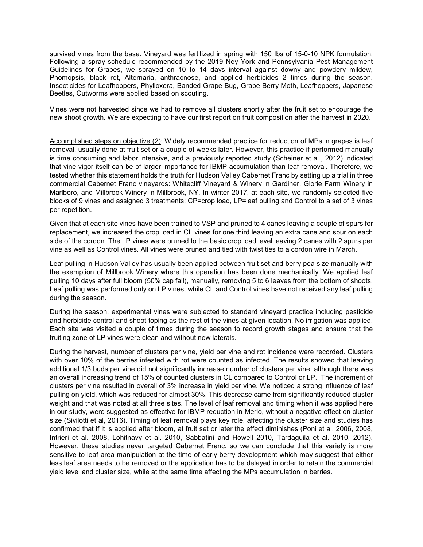survived vines from the base. Vineyard was fertilized in spring with 150 Ibs of 15-0-10 NPK formulation. Following a spray schedule recommended by the 2019 Ney York and Pennsylvania Pest Management Guidelines for Grapes, we sprayed on 10 to 14 days interval against downy and powdery mildew, Phomopsis, black rot, Alternaria, anthracnose, and applied herbicides 2 times during the season. Insecticides for Leafhoppers, Phylloxera, Banded Grape Bug, Grape Berry Moth, Leafhoppers, Japanese Beetles, Cutworms were applied based on scouting.

Vines were not harvested since we had to remove all clusters shortly after the fruit set to encourage the new shoot growth. We are expecting to have our first report on fruit composition after the harvest in 2020.

Accomplished steps on objective (2): Widely recommended practice for reduction of MPs in grapes is leaf removal, usually done at fruit set or a couple of weeks later. However, this practice if performed manually is time consuming and labor intensive, and a previously reported study (Scheiner et al., 2012) indicated that vine vigor itself can be of larger importance for IBMP accumulation than leaf removal. Therefore, we tested whether this statement holds the truth for Hudson Valley Cabernet Franc by setting up a trial in three commercial Cabernet Franc vineyards: Whitecliff Vineyard & Winery in Gardiner, Glorie Farm Winery in Marlboro, and Millbrook Winery in Millbrook, NY. In winter 2017, at each site, we randomly selected five blocks of 9 vines and assigned 3 treatments: CP=crop load, LP=leaf pulling and Control to a set of 3 vines per repetition.

Given that at each site vines have been trained to VSP and pruned to 4 canes leaving a couple of spurs for replacement, we increased the crop load in CL vines for one third leaving an extra cane and spur on each side of the cordon. The LP vines were pruned to the basic crop load level leaving 2 canes with 2 spurs per vine as well as Control vines. All vines were pruned and tied with twist ties to a cordon wire in March.

Leaf pulling in Hudson Valley has usually been applied between fruit set and berry pea size manually with the exemption of Millbrook Winery where this operation has been done mechanically. We applied leaf pulling 10 days after full bloom (50% cap fall), manually, removing 5 to 6 leaves from the bottom of shoots. Leaf pulling was performed only on LP vines, while CL and Control vines have not received any leaf pulling during the season.

During the season, experimental vines were subjected to standard vineyard practice including pesticide and herbicide control and shoot toping as the rest of the vines at given location. No irrigation was applied. Each site was visited a couple of times during the season to record growth stages and ensure that the fruiting zone of LP vines were clean and without new laterals.

During the harvest, number of clusters per vine, yield per vine and rot incidence were recorded. Clusters with over 10% of the berries infested with rot were counted as infected. The results showed that leaving additional 1/3 buds per vine did not significantly increase number of clusters per vine, although there was an overall increasing trend of 15% of counted clusters in CL compared to Control or LP. The increment of clusters per vine resulted in overall of 3% increase in yield per vine. We noticed a strong influence of leaf pulling on yield, which was reduced for almost 30%. This decrease came from significantly reduced cluster weight and that was noted at all three sites. The level of leaf removal and timing when it was applied here in our study, were suggested as effective for IBMP reduction in Merlo, without a negative effect on cluster size (Sivilotti et al, 2016). Timing of leaf removal plays key role, affecting the cluster size and studies has confirmed that if it is applied after bloom, at fruit set or later the effect diminishes (Poni et al. 2006, 2008, Intrieri et al. 2008, Lohitnavy et al. 2010, Sabbatini and Howell 2010, Tardaguila et al. 2010, 2012). However, these studies never targeted Cabernet Franc, so we can conclude that this variety is more sensitive to leaf area manipulation at the time of early berry development which may suggest that either less leaf area needs to be removed or the application has to be delayed in order to retain the commercial yield level and cluster size, while at the same time affecting the MPs accumulation in berries.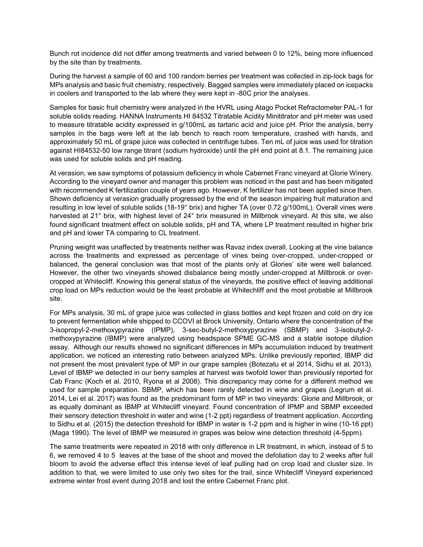Bunch rot incidence did not differ among treatments and varied between 0 to 12%, being more influenced by the site than by treatments.

During the harvest a sample of 60 and 100 random berries per treatment was collected in zip-lock bags for MPs analysis and basic fruit chemistry, respectively. Bagged samples were immediately placed on icepacks in coolers and transported to the lab where they were kept in -80C prior the analyses.

Samples for basic fruit chemistry were analyzed in the HVRL using Atago Pocket Refractometer PAL-1 for soluble solids reading. HANNA Instruments HI 84532 Titratable Acidity Minititrator and pH meter was used to measure titratable acidity expressed in g/100mL as tartaric acid and juice pH. Prior the analysis, berry samples in the bags were left at the lab bench to reach room temperature, crashed with hands, and approximately 50 mL of grape juice was collected in centrifuge tubes. Ten mL of juice was used for titration against HI84532-50 low range titrant (sodium hydroxide) until the pH end point at 8.1. The remaining juice was used for soluble solids and pH reading.

At verasion, we saw symptoms of potassium deficiency in whole Cabernet Franc vineyard at Glorie Winery. According to the vineyard owner and manager this problem was noticed in the past and has been mitigated with recommended K fertilization couple of years ago. However, K fertilizer has not been applied since then. Shown deficiency at verasion gradually progressed by the end of the season impairing fruit maturation and resulting in low level of soluble solids (18-19° brix) and higher TA (over 0.72 g/100mL). Overall vines were harvested at 21° brix, with highest level of 24° brix measured in Millbrook vineyard. At this site, we also found significant treatment effect on soluble solids, pH and TA, where LP treatment resulted in higher brix and pH and lower TA comparing to CL treatment.

Pruning weight was unaffected by treatments neither was Ravaz index overall. Looking at the vine balance across the treatments and expressed as percentage of vines being over-cropped, under-cropped or balanced, the general conclusion was that most of the plants only at Glories' site were well balanced. However, the other two vineyards showed disbalance being mostly under-cropped at Millbrook or overcropped at Whitecliff. Knowing this general status of the vineyards, the positive effect of leaving additional crop load on MPs reduction would be the least probable at Whitechliff and the most probable at Millbrook site.

For MPs analysis, 30 mL of grape juice was collected in glass bottles and kept frozen and cold on dry ice to prevent fermentation while shipped to CCOVI at Brock University, Ontario where the concentration of the 3-isopropyl-2-methoxypyrazine (IPMP), 3-sec-butyl-2-methoxypyrazine (SBMP) and 3-isobutyl-2 methoxypyrazine (IBMP) were analyzed using headspace SPME GC-MS and a stable isotope dilution assay. Although our results showed no significant differences in MPs accumulation induced by treatment application, we noticed an interesting ratio between analyzed MPs. Unlike previously reported, IBMP did not present the most prevalent type of MP in our grape samples (Botezatu et al 2014, Sidhu et al. 2013). Level of IBMP we detected in our berry samples at harvest was twofold lower than previously reported for Cab Franc (Koch et al. 2010, Ryona et al 2008). This discrepancy may come for a different method we used for sample preparation. SBMP, which has been rarely detected in wine and grapes (Legrum et al. 2014, Lei et al. 2017) was found as the predominant form of MP in two vineyards: Glorie and Millbrook; or as equally dominant as IBMP at Whitecliff vineyard. Found concentration of IPMP and SBMP exceeded their sensory detection threshold in water and wine (1-2 ppt) regardless of treatment application. According to Sidhu et al. (2015) the detection threshold for IBMP in water is 1-2 ppm and is higher in wine (10-16 ppt) (Maga 1990). The level of IBMP we measured in grapes was below wine detection threshold (4-5ppm).

The same treatments were repeated in 2018 with only difference in LR treatment, in which, instead of 5 to 6, we removed 4 to 5 leaves at the base of the shoot and moved the defoliation day to 2 weeks after full bloom to avoid the adverse effect this intense level of leaf pulling had on crop load and cluster size. In addition to that, we were limited to use only two sites for the trail, since Whitecliff Vineyard experienced extreme winter frost event during 2018 and lost the entire Cabernet Franc plot.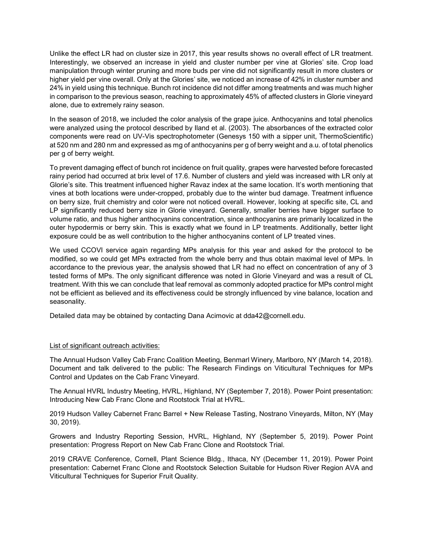Unlike the effect LR had on cluster size in 2017, this year results shows no overall effect of LR treatment. Interestingly, we observed an increase in yield and cluster number per vine at Glories' site. Crop load manipulation through winter pruning and more buds per vine did not significantly result in more clusters or higher yield per vine overall. Only at the Glories' site, we noticed an increase of 42% in cluster number and 24% in yield using this technique. Bunch rot incidence did not differ among treatments and was much higher in comparison to the previous season, reaching to approximately 45% of affected clusters in Glorie vineyard alone, due to extremely rainy season.

In the season of 2018, we included the color analysis of the grape juice. Anthocyanins and total phenolics were analyzed using the protocol described by Iland et al. (2003). The absorbances of the extracted color components were read on UV-Vis spectrophotometer (Genesys 150 with a sipper unit, ThermoScientific) at 520 nm and 280 nm and expressed as mg of anthocyanins per g of berry weight and a.u. of total phenolics per g of berry weight.

To prevent damaging effect of bunch rot incidence on fruit quality, grapes were harvested before forecasted rainy period had occurred at brix level of 17.6. Number of clusters and yield was increased with LR only at Glorie's site. This treatment influenced higher Ravaz index at the same location. It's worth mentioning that vines at both locations were under-cropped, probably due to the winter bud damage. Treatment influence on berry size, fruit chemistry and color were not noticed overall. However, looking at specific site, CL and LP significantly reduced berry size in Glorie vineyard. Generally, smaller berries have bigger surface to volume ratio, and thus higher anthocyanins concentration, since anthocyanins are primarily localized in the outer hypodermis or berry skin. This is exactly what we found in LP treatments. Additionally, better light exposure could be as well contribution to the higher anthocyanins content of LP treated vines.

We used CCOVI service again regarding MPs analysis for this year and asked for the protocol to be modified, so we could get MPs extracted from the whole berry and thus obtain maximal level of MPs. In accordance to the previous year, the analysis showed that LR had no effect on concentration of any of 3 tested forms of MPs. The only significant difference was noted in Glorie Vineyard and was a result of CL treatment. With this we can conclude that leaf removal as commonly adopted practice for MPs control might not be efficient as believed and its effectiveness could be strongly influenced by vine balance, location and seasonality.

Detailed data may be obtained by contacting Dana Acimovic at dda42@cornell.edu.

## List of significant outreach activities:

The Annual Hudson Valley Cab Franc Coalition Meeting, Benmarl Winery, Marlboro, NY (March 14, 2018). Document and talk delivered to the public: The Research Findings on Viticultural Techniques for MPs Control and Updates on the Cab Franc Vineyard.

The Annual HVRL Industry Meeting, HVRL, Highland, NY (September 7, 2018). Power Point presentation: Introducing New Cab Franc Clone and Rootstock Trial at HVRL.

2019 Hudson Valley Cabernet Franc Barrel + New Release Tasting, Nostrano Vineyards, Milton, NY (May 30, 2019).

Growers and Industry Reporting Session, HVRL, Highland, NY (September 5, 2019). Power Point presentation: Progress Report on New Cab Franc Clone and Rootstock Trial.

2019 CRAVE Conference, Cornell, Plant Science Bldg., Ithaca, NY (December 11, 2019). Power Point presentation: Cabernet Franc Clone and Rootstock Selection Suitable for Hudson River Region AVA and Viticultural Techniques for Superior Fruit Quality.